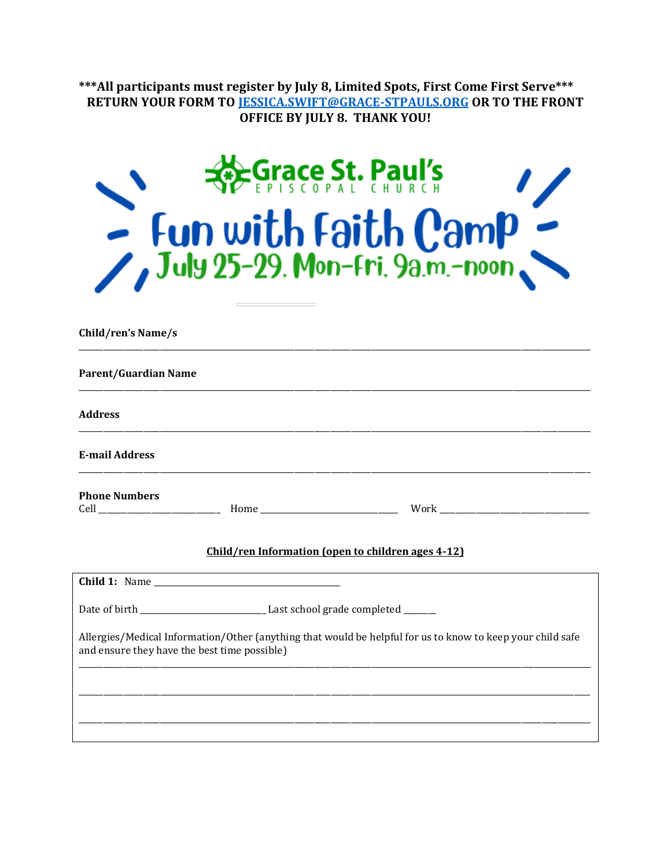\*\*\*All participants must register by July 8, Limited Spots, First Come First Serve\*\*\*<br>RETURN YOUR FORM TO <u>JESSICA.SWIFT@GRACE-STPAULS.ORG</u> OR TO THE FRONT<br>OFFICE BY JULY 8. THANK YOU!

| <b>Research St. Paul's</b>     | $\prime$ |
|--------------------------------|----------|
| $\sum_{l}$ Fun with Faith Camp |          |
|                                |          |

Child/ren's Name/s

| <b>Parent/Guardian Name</b>                                                                                                                                |  |                                                    |  |  |
|------------------------------------------------------------------------------------------------------------------------------------------------------------|--|----------------------------------------------------|--|--|
| <b>Address</b>                                                                                                                                             |  |                                                    |  |  |
| <b>E-mail Address</b>                                                                                                                                      |  |                                                    |  |  |
| <b>Phone Numbers</b>                                                                                                                                       |  |                                                    |  |  |
|                                                                                                                                                            |  | Child/ren Information (open to children ages 4-12) |  |  |
|                                                                                                                                                            |  |                                                    |  |  |
|                                                                                                                                                            |  |                                                    |  |  |
| Allergies/Medical Information/Other (anything that would be helpful for us to know to keep your child safe<br>and ensure they have the best time possible) |  |                                                    |  |  |
|                                                                                                                                                            |  |                                                    |  |  |
|                                                                                                                                                            |  |                                                    |  |  |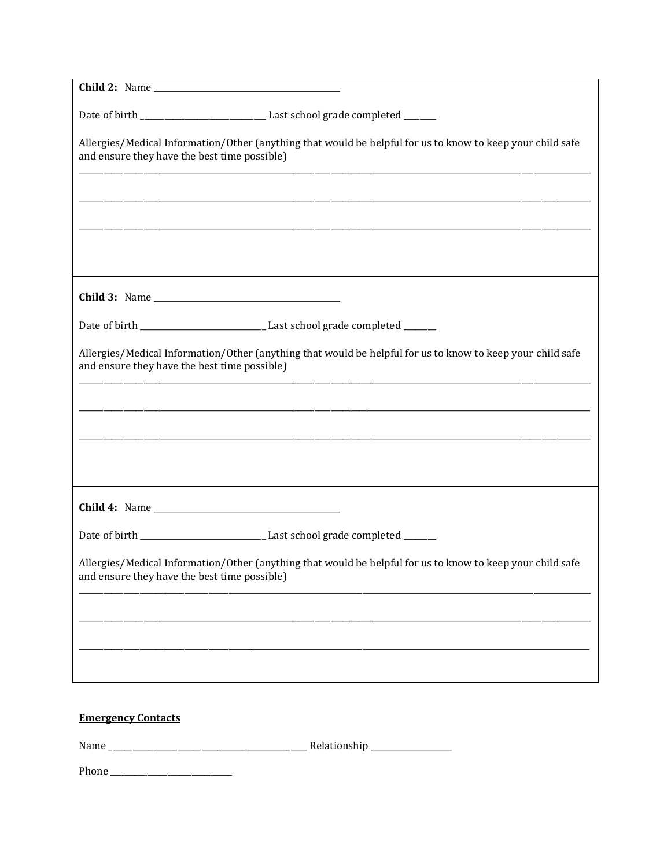| Date of birth __________________________________Last school grade completed _______                                                                        |  |
|------------------------------------------------------------------------------------------------------------------------------------------------------------|--|
| Allergies/Medical Information/Other (anything that would be helpful for us to know to keep your child safe<br>and ensure they have the best time possible) |  |
|                                                                                                                                                            |  |
|                                                                                                                                                            |  |
|                                                                                                                                                            |  |
|                                                                                                                                                            |  |
| Date of birth _________________________________Last school grade completed _______                                                                         |  |
| Allergies/Medical Information/Other (anything that would be helpful for us to know to keep your child safe<br>and ensure they have the best time possible) |  |
|                                                                                                                                                            |  |
|                                                                                                                                                            |  |
|                                                                                                                                                            |  |
|                                                                                                                                                            |  |
| Date of birth __________________________________Last school grade completed ________                                                                       |  |
| Allergies/Medical Information/Other (anything that would be helpful for us to know to keep your child safe<br>and ensure they have the best time possible) |  |
|                                                                                                                                                            |  |
|                                                                                                                                                            |  |
|                                                                                                                                                            |  |
| <b>Emergency Contacts</b>                                                                                                                                  |  |
|                                                                                                                                                            |  |
|                                                                                                                                                            |  |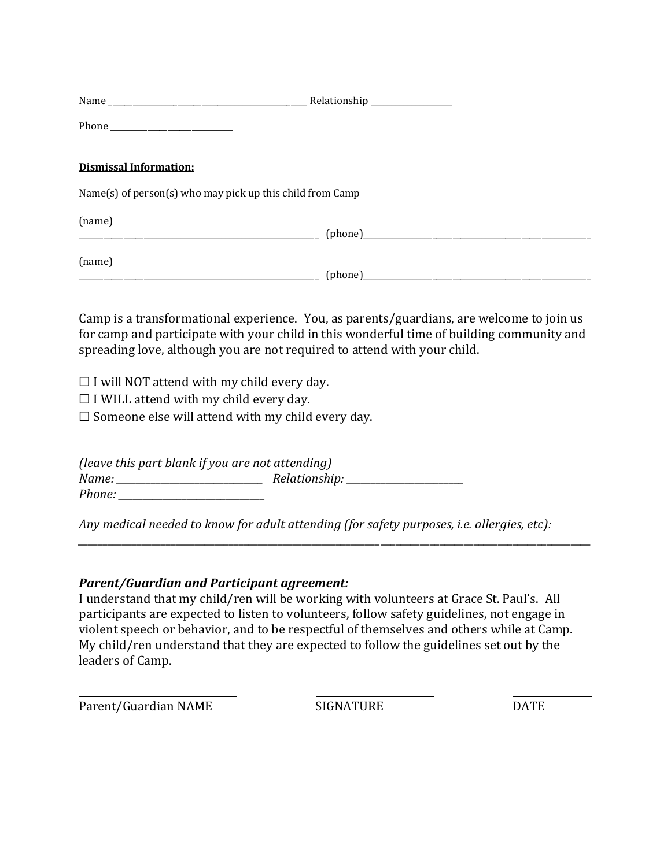| <b>Dismissal Information:</b>                             |  |
|-----------------------------------------------------------|--|
| Name(s) of person(s) who may pick up this child from Camp |  |
| (name)                                                    |  |
| (name)                                                    |  |

Camp is a transformational experience. You, as parents/guardians, are welcome to join us for camp and participate with your child in this wonderful time of building community and spreading love, although you are not required to attend with your child.

 $\Box$  I will NOT attend with my child every day.

 $\Box$  I WILL attend with my child every day.

 $\Box$  Someone else will attend with my child every day.

*(leave this part blank if you are not attending) Name: \_\_\_\_\_\_\_\_\_\_\_\_\_\_\_\_\_\_\_\_\_\_\_\_\_\_\_\_\_\_ Relationship: \_\_\_\_\_\_\_\_\_\_\_\_\_\_\_\_\_\_\_\_\_\_\_\_ Phone:* 

*Any medical needed to know for adult attending (for safety purposes, i.e. allergies, etc):* 

*\_\_\_\_\_\_\_\_\_\_\_\_\_\_\_\_\_\_\_\_\_\_\_\_\_\_\_\_\_\_\_\_\_\_\_\_\_\_\_\_\_\_\_\_\_\_\_\_\_\_\_\_\_\_\_\_\_\_\_\_\_\_*\_\_\_\_\_\_\_\_\_\_\_\_\_\_\_\_\_\_\_\_\_\_\_\_\_\_\_\_\_\_\_\_\_\_\_\_\_\_\_\_\_\_\_

## *Parent/Guardian and Participant agreement:*

I understand that my child/ren will be working with volunteers at Grace St. Paul's. All participants are expected to listen to volunteers, follow safety guidelines, not engage in violent speech or behavior, and to be respectful of themselves and others while at Camp. My child/ren understand that they are expected to follow the guidelines set out by the leaders of Camp.

Parent/Guardian NAME SIGNATURE SIGNATURE